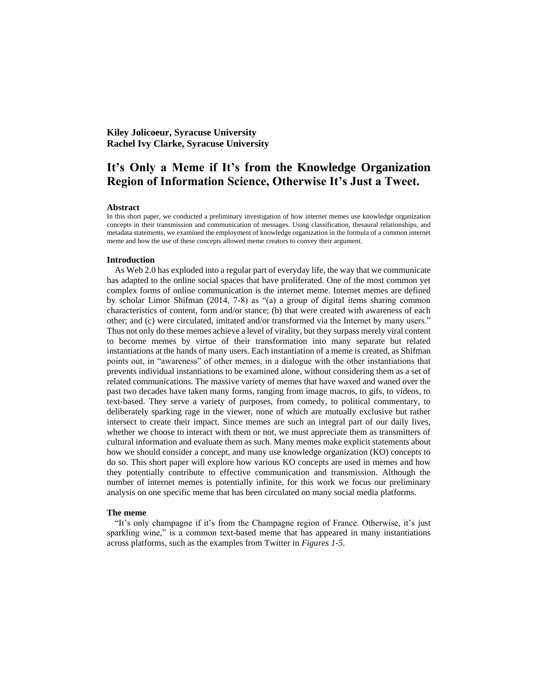**Kiley Jolicoeur, Syracuse University Rachel Ivy Clarke, Syracuse University**

# **It's Only a Meme if It's from the Knowledge Organization Region of Information Science, Otherwise It's Just a Tweet.**

#### **Abstract**

In this short paper, we conducted a preliminary investigation of how internet memes use knowledge organization concepts in their transmission and communication of messages. Using classification, thesaural relationships, and metadata statements, we examined the employment of knowledge organization in the formula of a common internet meme and how the use of these concepts allowed meme creators to convey their argument.

#### **Introduction**

As Web 2.0 has exploded into a regular part of everyday life, the way that we communicate has adapted to the online social spaces that have proliferated. One of the most common yet complex forms of online communication is the internet meme. Internet memes are defined by scholar Limor Shifman (2014, 7-8) as "(a) a group of digital items sharing common characteristics of content, form and/or stance; (b) that were created with awareness of each other; and (c) were circulated, imitated and/or transformed via the Internet by many users." Thus not only do these memes achieve a level of virality, but they surpass merely viral content to become memes by virtue of their transformation into many separate but related instantiations at the hands of many users. Each instantiation of a meme is created, as Shifman points out, in "awareness" of other memes, in a dialogue with the other instantiations that prevents individual instantiations to be examined alone, without considering them as a set of related communications. The massive variety of memes that have waxed and waned over the past two decades have taken many forms, ranging from image macros, to gifs, to videos, to text-based. They serve a variety of purposes, from comedy, to political commentary, to deliberately sparking rage in the viewer, none of which are mutually exclusive but rather intersect to create their impact. Since memes are such an integral part of our daily lives, whether we choose to interact with them or not, we must appreciate them as transmitters of cultural information and evaluate them as such. Many memes make explicit statements about how we should consider a concept, and many use knowledge organization (KO) concepts to do so. This short paper will explore how various KO concepts are used in memes and how they potentially contribute to effective communication and transmission. Although the number of internet memes is potentially infinite, for this work we focus our preliminary analysis on one specific meme that has been circulated on many social media platforms.

#### **The meme**

"It's only champagne if it's from the Champagne region of France. Otherwise, it's just sparkling wine," is a common text-based meme that has appeared in many instantiations across platforms, such as the examples from Twitter in *Figures 1-5*.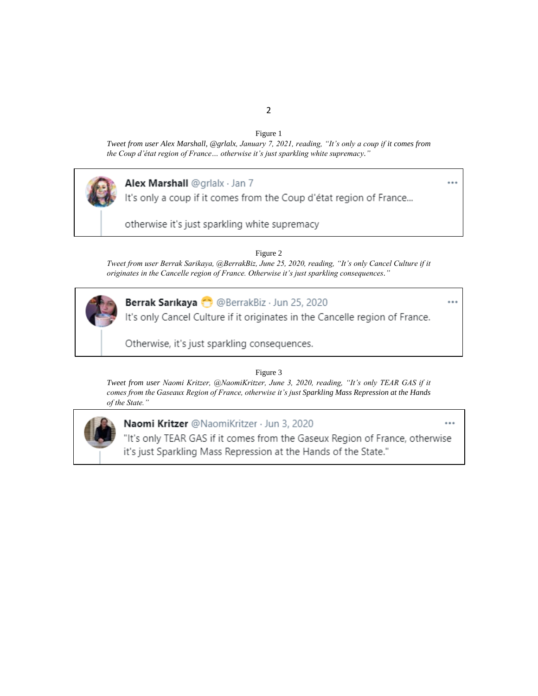## Figure 1

*Tweet from user Alex Marshall, @grlalx, January 7, 2021, reading, "It's only a coup if it comes from the Coup d'état region of France… otherwise it's just sparkling white supremacy."*



# Alex Marshall @grlalx · Jan 7

It's only a coup if it comes from the Coup d'état region of France...

otherwise it's just sparkling white supremacy

Figure 2

*Tweet from user Berrak Sarikaya, @BerrakBiz, June 25, 2020, reading, "It's only Cancel Culture if it originates in the Cancelle region of France. Otherwise it's just sparkling consequences."*



Berrak Sarıkaya ( @BerrakBiz · Jun 25, 2020

It's only Cancel Culture if it originates in the Cancelle region of France.

Otherwise, it's just sparkling consequences.

Figure 3

*Tweet from user Naomi Kritzer, @NaomiKritzer, June 3, 2020, reading, "It's only TEAR GAS if it comes from the Gaseaux Region of France, otherwise it's just Sparkling Mass Repression at the Hands of the State."*



## Naomi Kritzer @NaomiKritzer · Jun 3, 2020

"It's only TEAR GAS if it comes from the Gaseux Region of France, otherwise it's just Sparkling Mass Repression at the Hands of the State."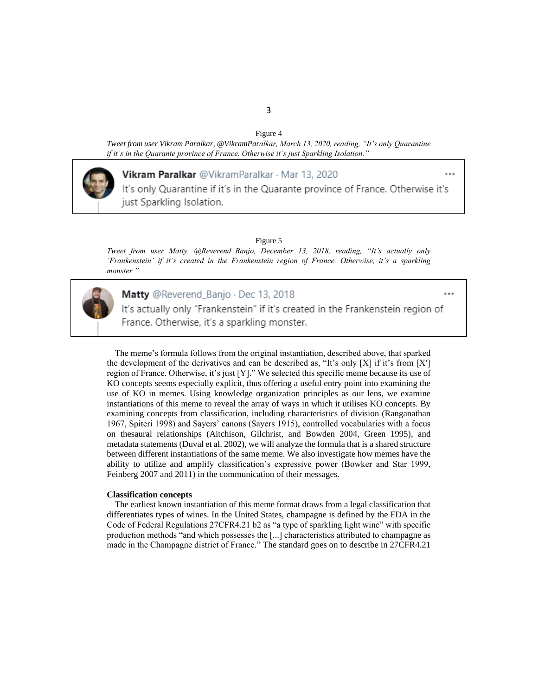Figure 4

*Tweet from user Vikram Paralkar, @VikramParalkar, March 13, 2020, reading, "It's only Quarantine if it's in the Quarante province of France. Otherwise it's just Sparkling Isolation."*



## Vikram Paralkar @VikramParalkar · Mar 13, 2020

It's only Quarantine if it's in the Quarante province of France. Otherwise it's just Sparkling Isolation.

Figure 5

*Tweet from user Matty, @Reverend\_Banjo, December 13, 2018, reading, "It's actually only 'Frankenstein' if it's created in the Frankenstein region of France. Otherwise, it's a sparkling monster."*



### Matty @Reverend\_Banjo · Dec 13, 2018

It's actually only "Frankenstein" if it's created in the Frankenstein region of France. Otherwise, it's a sparkling monster.

The meme's formula follows from the original instantiation, described above, that sparked the development of the derivatives and can be described as, "It's only [X] if it's from [X′] region of France. Otherwise, it's just [Y]." We selected this specific meme because its use of KO concepts seems especially explicit, thus offering a useful entry point into examining the use of KO in memes. Using knowledge organization principles as our lens, we examine instantiations of this meme to reveal the array of ways in which it utilises KO concepts. By examining concepts from classification, including characteristics of division (Ranganathan 1967, Spiteri 1998) and Sayers' canons (Sayers 1915), controlled vocabularies with a focus on thesaural relationships (Aitchison, Gilchrist, and Bowden 2004, Green 1995), and metadata statements (Duval et al. 2002), we will analyze the formula that is a shared structure between different instantiations of the same meme. We also investigate how memes have the ability to utilize and amplify classification's expressive power (Bowker and Star 1999, Feinberg 2007 and 2011) in the communication of their messages.

#### **Classification concepts**

The earliest known instantiation of this meme format draws from a legal classification that differentiates types of wines. In the United States, champagne is defined by the FDA in the Code of Federal Regulations 27CFR4.21 b2 as "a type of sparkling light wine" with specific production methods "and which possesses the [...] characteristics attributed to champagne as made in the Champagne district of France." The standard goes on to describe in 27CFR4.21

#### 3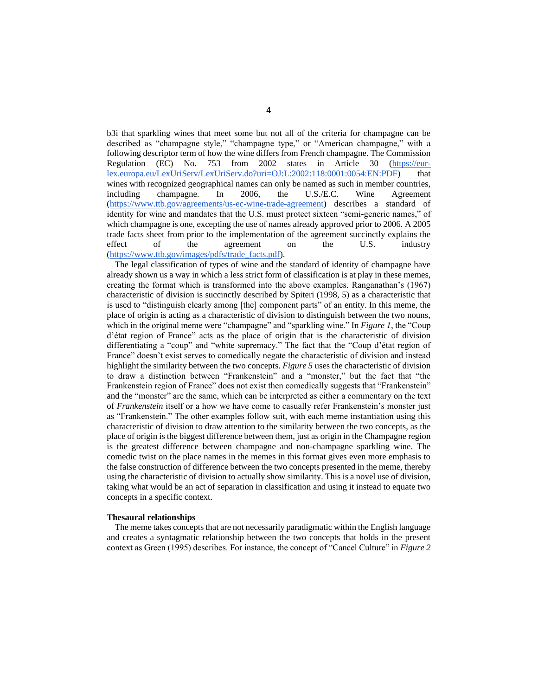b3i that sparkling wines that meet some but not all of the criteria for champagne can be described as "champagne style," "champagne type," or "American champagne," with a following descriptor term of how the wine differs from French champagne. The Commission Regulation (EC) No. 753 from 2002 states in Article 30 [\(https://eur](https://eur-lex.europa.eu/LexUriServ/LexUriServ.do?uri=OJ:L:2002:118:0001:0054:EN:PDF)[lex.europa.eu/LexUriServ/LexUriServ.do?uri=OJ:L:2002:118:0001:0054:EN:PDF\)](https://eur-lex.europa.eu/LexUriServ/LexUriServ.do?uri=OJ:L:2002:118:0001:0054:EN:PDF) that wines with recognized geographical names can only be named as such in member countries, including champagne. In 2006, the U.S./E.C. Wine Agreement [\(https://www.ttb.gov/agreements/us-ec-wine-trade-agreement\)](https://www.ttb.gov/agreements/us-ec-wine-trade-agreement) describes a standard of identity for wine and mandates that the U.S. must protect sixteen "semi-generic names," of which champagne is one, excepting the use of names already approved prior to 2006. A 2005 trade facts sheet from prior to the implementation of the agreement succinctly explains the effect of the agreement on the U.S. industry [\(https://www.ttb.gov/images/pdfs/trade\\_facts.pdf\)](https://www.ttb.gov/images/pdfs/trade_facts.pdf).

The legal classification of types of wine and the standard of identity of champagne have already shown us a way in which a less strict form of classification is at play in these memes, creating the format which is transformed into the above examples. Ranganathan's (1967) characteristic of division is succinctly described by Spiteri (1998, 5) as a characteristic that is used to "distinguish clearly among [the] component parts" of an entity. In this meme, the place of origin is acting as a characteristic of division to distinguish between the two nouns, which in the original meme were "champagne" and "sparkling wine." In *Figure 1*, the "Coup d'état region of France" acts as the place of origin that is the characteristic of division differentiating a "coup" and "white supremacy." The fact that the "Coup d'état region of France" doesn't exist serves to comedically negate the characteristic of division and instead highlight the similarity between the two concepts. *Figure 5* uses the characteristic of division to draw a distinction between "Frankenstein" and a "monster," but the fact that "the Frankenstein region of France" does not exist then comedically suggests that "Frankenstein" and the "monster" are the same, which can be interpreted as either a commentary on the text of *Frankenstein* itself or a how we have come to casually refer Frankenstein's monster just as "Frankenstein." The other examples follow suit, with each meme instantiation using this characteristic of division to draw attention to the similarity between the two concepts, as the place of origin is the biggest difference between them, just as origin in the Champagne region is the greatest difference between champagne and non-champagne sparkling wine. The comedic twist on the place names in the memes in this format gives even more emphasis to the false construction of difference between the two concepts presented in the meme, thereby using the characteristic of division to actually show similarity. This is a novel use of division, taking what would be an act of separation in classification and using it instead to equate two concepts in a specific context.

#### **Thesaural relationships**

The meme takes concepts that are not necessarily paradigmatic within the English language and creates a syntagmatic relationship between the two concepts that holds in the present context as Green (1995) describes. For instance, the concept of "Cancel Culture" in *Figure 2*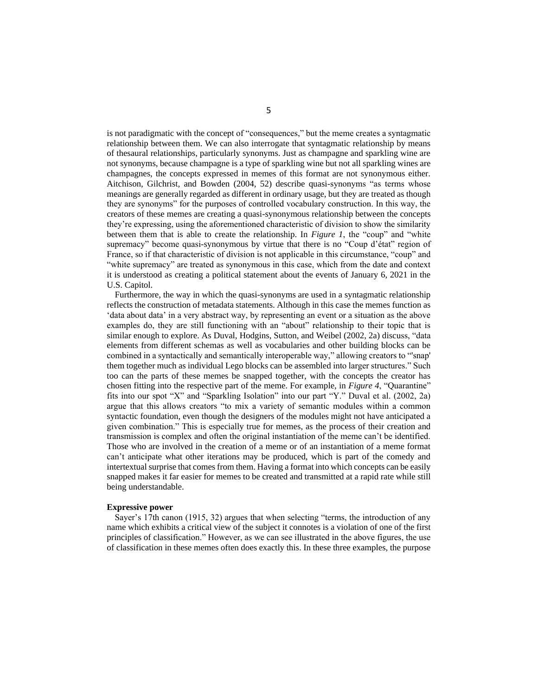is not paradigmatic with the concept of "consequences," but the meme creates a syntagmatic relationship between them. We can also interrogate that syntagmatic relationship by means of thesaural relationships, particularly synonyms. Just as champagne and sparkling wine are not synonyms, because champagne is a type of sparkling wine but not all sparkling wines are champagnes, the concepts expressed in memes of this format are not synonymous either. Aitchison, Gilchrist, and Bowden (2004, 52) describe quasi-synonyms "as terms whose meanings are generally regarded as different in ordinary usage, but they are treated as though they are synonyms" for the purposes of controlled vocabulary construction. In this way, the creators of these memes are creating a quasi-synonymous relationship between the concepts they're expressing, using the aforementioned characteristic of division to show the similarity between them that is able to create the relationship. In *Figure 1*, the "coup" and "white supremacy" become quasi-synonymous by virtue that there is no "Coup d'état" region of France, so if that characteristic of division is not applicable in this circumstance, "coup" and "white supremacy" are treated as synonymous in this case, which from the date and context it is understood as creating a political statement about the events of January 6, 2021 in the U.S. Capitol.

Furthermore, the way in which the quasi-synonyms are used in a syntagmatic relationship reflects the construction of metadata statements. Although in this case the memes function as 'data about data' in a very abstract way, by representing an event or a situation as the above examples do, they are still functioning with an "about" relationship to their topic that is similar enough to explore. As Duval, Hodgins, Sutton, and Weibel (2002, 2a) discuss, "data elements from different schemas as well as vocabularies and other building blocks can be combined in a syntactically and semantically interoperable way," allowing creators to "'snap' them together much as individual Lego blocks can be assembled into larger structures." Such too can the parts of these memes be snapped together, with the concepts the creator has chosen fitting into the respective part of the meme. For example, in *Figure 4*, "Quarantine" fits into our spot "X" and "Sparkling Isolation" into our part "Y." Duval et al. (2002, 2a) argue that this allows creators "to mix a variety of semantic modules within a common syntactic foundation, even though the designers of the modules might not have anticipated a given combination." This is especially true for memes, as the process of their creation and transmission is complex and often the original instantiation of the meme can't be identified. Those who are involved in the creation of a meme or of an instantiation of a meme format can't anticipate what other iterations may be produced, which is part of the comedy and intertextual surprise that comes from them. Having a format into which concepts can be easily snapped makes it far easier for memes to be created and transmitted at a rapid rate while still being understandable.

#### **Expressive power**

Sayer's 17th canon (1915, 32) argues that when selecting "terms, the introduction of any name which exhibits a critical view of the subject it connotes is a violation of one of the first principles of classification." However, as we can see illustrated in the above figures, the use of classification in these memes often does exactly this. In these three examples, the purpose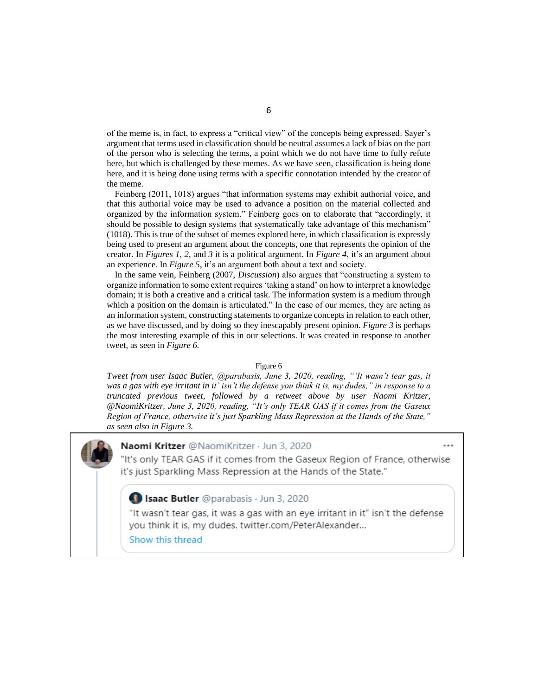of the meme is, in fact, to express a "critical view" of the concepts being expressed. Sayer's argument that terms used in classification should be neutral assumes a lack of bias on the part of the person who is selecting the terms, a point which we do not have time to fully refute here, but which is challenged by these memes. As we have seen, classification is being done here, and it is being done using terms with a specific connotation intended by the creator of the meme.

Feinberg (2011, 1018) argues "that information systems may exhibit authorial voice, and that this authorial voice may be used to advance a position on the material collected and organized by the information system." Feinberg goes on to elaborate that "accordingly, it should be possible to design systems that systematically take advantage of this mechanism" (1018). This is true of the subset of memes explored here, in which classification is expressly being used to present an argument about the concepts, one that represents the opinion of the creator. In *Figures 1*, *2*, and *3* it is a political argument. In *Figure 4*, it's an argument about an experience. In *Figure 5*, it's an argument both about a text and society.

In the same vein, Feinberg (2007, *Discussion*) also argues that "constructing a system to organize information to some extent requires 'taking a stand' on how to interpret a knowledge domain; it is both a creative and a critical task. The information system is a medium through which a position on the domain is articulated." In the case of our memes, they are acting as an information system, constructing statements to organize concepts in relation to each other, as we have discussed, and by doing so they inescapably present opinion. *Figure 3* is perhaps the most interesting example of this in our selections. It was created in response to another tweet, as seen in *Figure 6.*

#### Figure 6

*Tweet from user Isaac Butler, @parabasis, June 3, 2020, reading, "'It wasn't tear gas, it was a gas with eye irritant in it' isn't the defense you think it is, my dudes," in response to a truncated previous tweet, followed by a retweet above by user Naomi Kritzer, @NaomiKritzer, June 3, 2020, reading, "It's only TEAR GAS if it comes from the Gaseux Region of France, otherwise it's just Sparkling Mass Repression at the Hands of the State," as seen also in Figure 3.*

## Naomi Kritzer @NaomiKritzer · Jun 3, 2020

"It's only TEAR GAS if it comes from the Gaseux Region of France, otherwise it's just Sparkling Mass Repression at the Hands of the State."

## Isaac Butler @parabasis · Jun 3, 2020

"It wasn't tear gas, it was a gas with an eye irritant in it" isn't the defense you think it is, my dudes. twitter.com/PeterAlexander...

Show this thread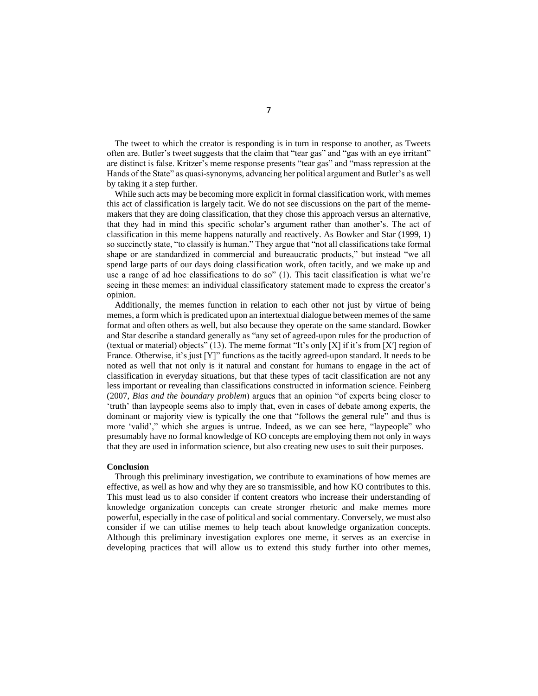The tweet to which the creator is responding is in turn in response to another, as Tweets often are. Butler's tweet suggests that the claim that "tear gas" and "gas with an eye irritant" are distinct is false. Kritzer's meme response presents "tear gas" and "mass repression at the Hands of the State" as quasi-synonyms, advancing her political argument and Butler's as well by taking it a step further.

While such acts may be becoming more explicit in formal classification work, with memes this act of classification is largely tacit. We do not see discussions on the part of the mememakers that they are doing classification, that they chose this approach versus an alternative, that they had in mind this specific scholar's argument rather than another's. The act of classification in this meme happens naturally and reactively. As Bowker and Star (1999, 1) so succinctly state, "to classify is human." They argue that "not all classifications take formal shape or are standardized in commercial and bureaucratic products," but instead "we all spend large parts of our days doing classification work, often tacitly, and we make up and use a range of ad hoc classifications to do so" (1). This tacit classification is what we're seeing in these memes: an individual classificatory statement made to express the creator's opinion.

Additionally, the memes function in relation to each other not just by virtue of being memes, a form which is predicated upon an intertextual dialogue between memes of the same format and often others as well, but also because they operate on the same standard. Bowker and Star describe a standard generally as "any set of agreed-upon rules for the production of (textual or material) objects" (13). The meme format "It's only  $[X]$  if it's from  $[X']$  region of France. Otherwise, it's just [Y]" functions as the tacitly agreed-upon standard. It needs to be noted as well that not only is it natural and constant for humans to engage in the act of classification in everyday situations, but that these types of tacit classification are not any less important or revealing than classifications constructed in information science. Feinberg (2007, *Bias and the boundary problem*) argues that an opinion "of experts being closer to 'truth' than laypeople seems also to imply that, even in cases of debate among experts, the dominant or majority view is typically the one that "follows the general rule" and thus is more 'valid'," which she argues is untrue. Indeed, as we can see here, "laypeople" who presumably have no formal knowledge of KO concepts are employing them not only in ways that they are used in information science, but also creating new uses to suit their purposes.

#### **Conclusion**

Through this preliminary investigation, we contribute to examinations of how memes are effective, as well as how and why they are so transmissible, and how KO contributes to this. This must lead us to also consider if content creators who increase their understanding of knowledge organization concepts can create stronger rhetoric and make memes more powerful, especially in the case of political and social commentary. Conversely, we must also consider if we can utilise memes to help teach about knowledge organization concepts. Although this preliminary investigation explores one meme, it serves as an exercise in developing practices that will allow us to extend this study further into other memes,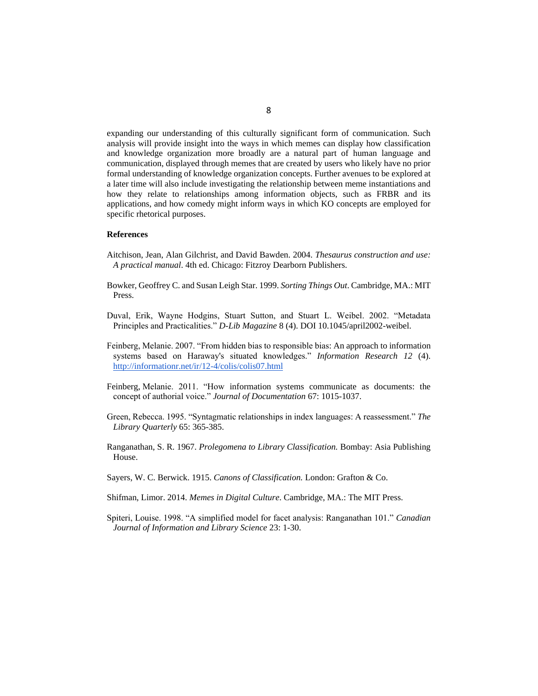expanding our understanding of this culturally significant form of communication. Such analysis will provide insight into the ways in which memes can display how classification and knowledge organization more broadly are a natural part of human language and communication, displayed through memes that are created by users who likely have no prior formal understanding of knowledge organization concepts. Further avenues to be explored at a later time will also include investigating the relationship between meme instantiations and how they relate to relationships among information objects, such as FRBR and its applications, and how comedy might inform ways in which KO concepts are employed for specific rhetorical purposes.

#### **References**

- Aitchison, Jean, Alan Gilchrist, and David Bawden. 2004. *Thesaurus construction and use: A practical manual*. 4th ed. Chicago: Fitzroy Dearborn Publishers.
- Bowker, Geoffrey C. and Susan Leigh Star. 1999. *Sorting Things Out*. Cambridge, MA.: MIT Press.
- Duval, Erik, Wayne Hodgins, Stuart Sutton, and Stuart L. Weibel. 2002. "Metadata Principles and Practicalities." *D-Lib Magazine* 8 (4). DOI 10.1045/april2002-weibel.
- Feinberg, Melanie. 2007. "From hidden bias to responsible bias: An approach to information systems based on Haraway's situated knowledges." *Information Research 12* (4). <http://informationr.net/ir/12-4/colis/colis07.html>
- Feinberg, Melanie. 2011. "How information systems communicate as documents: the concept of authorial voice." *Journal of Documentation* 67: 1015-1037.
- Green, Rebecca. 1995. "Syntagmatic relationships in index languages: A reassessment." *The Library Quarterly* 65: 365-385.
- Ranganathan, S. R. 1967. *Prolegomena to Library Classification.* Bombay: Asia Publishing House.
- Sayers, W. C. Berwick. 1915. *Canons of Classification.* London: Grafton & Co.
- Shifman, Limor. 2014. *Memes in Digital Culture*. Cambridge, MA.: The MIT Press.
- Spiteri, Louise. 1998. "A simplified model for facet analysis: Ranganathan 101." *Canadian Journal of Information and Library Science* 23: 1-30.